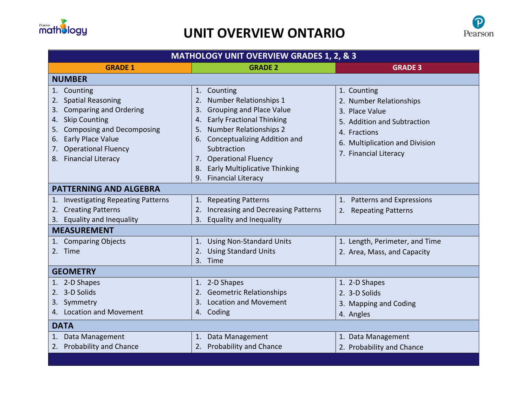

## **UNIT OVERVIEW ONTARIO**



| <b>GRADE 1</b><br><b>GRADE 2</b><br><b>GRADE 3</b><br><b>NUMBER</b><br>1. Counting<br>1. Counting<br>1. Counting<br>2. Spatial Reasoning<br>Number Relationships 1<br>2.<br>2. Number Relationships<br>3. Comparing and Ordering<br><b>Grouping and Place Value</b><br>3.<br>3. Place Value<br><b>Early Fractional Thinking</b><br>4. Skip Counting<br>4.<br>5. Addition and Subtraction<br>5. Composing and Decomposing<br><b>Number Relationships 2</b><br>5.<br>4. Fractions<br>6. Conceptualizing Addition and<br>6. Early Place Value<br>6. Multiplication and Division<br>7. Operational Fluency<br>Subtraction<br>7. Financial Literacy<br>8. Financial Literacy<br>7. Operational Fluency<br>8. Early Multiplicative Thinking<br>9. Financial Literacy<br><b>PATTERNING AND ALGEBRA</b><br>1. Patterns and Expressions<br>1. Investigating Repeating Patterns<br>1. Repeating Patterns<br>2. Creating Patterns<br>Increasing and Decreasing Patterns<br>2.<br>2. Repeating Patterns<br>3. Equality and Inequality<br>3. Equality and Inequality<br><b>MEASUREMENT</b><br>1. Using Non-Standard Units<br>1. Comparing Objects<br>1. Length, Perimeter, and Time<br>2. Time<br>2. Using Standard Units<br>2. Area, Mass, and Capacity<br>3. Time<br><b>GEOMETRY</b><br>1. 2-D Shapes<br>1. 2-D Shapes<br>1. 2-D Shapes<br>2. 3-D Solids<br>2. Geometric Relationships<br>2. 3-D Solids<br><b>Location and Movement</b><br>3. Symmetry<br>3.<br>3. Mapping and Coding<br>4. Location and Movement<br>4. Coding<br>4. Angles<br><b>DATA</b><br>1. Data Management<br>1. Data Management<br>1. Data Management<br>2. Probability and Chance<br>2. Probability and Chance<br>2. Probability and Chance | <b>MATHOLOGY UNIT OVERVIEW GRADES 1, 2, &amp; 3</b> |  |  |  |
|----------------------------------------------------------------------------------------------------------------------------------------------------------------------------------------------------------------------------------------------------------------------------------------------------------------------------------------------------------------------------------------------------------------------------------------------------------------------------------------------------------------------------------------------------------------------------------------------------------------------------------------------------------------------------------------------------------------------------------------------------------------------------------------------------------------------------------------------------------------------------------------------------------------------------------------------------------------------------------------------------------------------------------------------------------------------------------------------------------------------------------------------------------------------------------------------------------------------------------------------------------------------------------------------------------------------------------------------------------------------------------------------------------------------------------------------------------------------------------------------------------------------------------------------------------------------------------------------------------------------------------------------------------------------------------------------------------|-----------------------------------------------------|--|--|--|
|                                                                                                                                                                                                                                                                                                                                                                                                                                                                                                                                                                                                                                                                                                                                                                                                                                                                                                                                                                                                                                                                                                                                                                                                                                                                                                                                                                                                                                                                                                                                                                                                                                                                                                          |                                                     |  |  |  |
|                                                                                                                                                                                                                                                                                                                                                                                                                                                                                                                                                                                                                                                                                                                                                                                                                                                                                                                                                                                                                                                                                                                                                                                                                                                                                                                                                                                                                                                                                                                                                                                                                                                                                                          |                                                     |  |  |  |
|                                                                                                                                                                                                                                                                                                                                                                                                                                                                                                                                                                                                                                                                                                                                                                                                                                                                                                                                                                                                                                                                                                                                                                                                                                                                                                                                                                                                                                                                                                                                                                                                                                                                                                          |                                                     |  |  |  |
|                                                                                                                                                                                                                                                                                                                                                                                                                                                                                                                                                                                                                                                                                                                                                                                                                                                                                                                                                                                                                                                                                                                                                                                                                                                                                                                                                                                                                                                                                                                                                                                                                                                                                                          |                                                     |  |  |  |
|                                                                                                                                                                                                                                                                                                                                                                                                                                                                                                                                                                                                                                                                                                                                                                                                                                                                                                                                                                                                                                                                                                                                                                                                                                                                                                                                                                                                                                                                                                                                                                                                                                                                                                          |                                                     |  |  |  |
|                                                                                                                                                                                                                                                                                                                                                                                                                                                                                                                                                                                                                                                                                                                                                                                                                                                                                                                                                                                                                                                                                                                                                                                                                                                                                                                                                                                                                                                                                                                                                                                                                                                                                                          |                                                     |  |  |  |
|                                                                                                                                                                                                                                                                                                                                                                                                                                                                                                                                                                                                                                                                                                                                                                                                                                                                                                                                                                                                                                                                                                                                                                                                                                                                                                                                                                                                                                                                                                                                                                                                                                                                                                          |                                                     |  |  |  |
|                                                                                                                                                                                                                                                                                                                                                                                                                                                                                                                                                                                                                                                                                                                                                                                                                                                                                                                                                                                                                                                                                                                                                                                                                                                                                                                                                                                                                                                                                                                                                                                                                                                                                                          |                                                     |  |  |  |
|                                                                                                                                                                                                                                                                                                                                                                                                                                                                                                                                                                                                                                                                                                                                                                                                                                                                                                                                                                                                                                                                                                                                                                                                                                                                                                                                                                                                                                                                                                                                                                                                                                                                                                          |                                                     |  |  |  |
|                                                                                                                                                                                                                                                                                                                                                                                                                                                                                                                                                                                                                                                                                                                                                                                                                                                                                                                                                                                                                                                                                                                                                                                                                                                                                                                                                                                                                                                                                                                                                                                                                                                                                                          |                                                     |  |  |  |
|                                                                                                                                                                                                                                                                                                                                                                                                                                                                                                                                                                                                                                                                                                                                                                                                                                                                                                                                                                                                                                                                                                                                                                                                                                                                                                                                                                                                                                                                                                                                                                                                                                                                                                          |                                                     |  |  |  |
|                                                                                                                                                                                                                                                                                                                                                                                                                                                                                                                                                                                                                                                                                                                                                                                                                                                                                                                                                                                                                                                                                                                                                                                                                                                                                                                                                                                                                                                                                                                                                                                                                                                                                                          |                                                     |  |  |  |